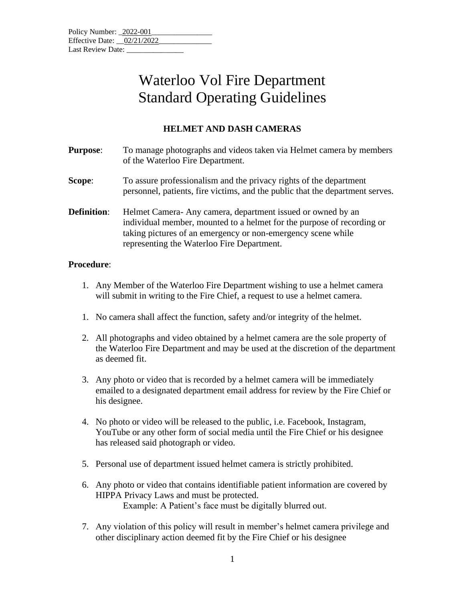| Policy Number: 2022-001      |  |  |  |
|------------------------------|--|--|--|
| Effective Date: $02/21/2022$ |  |  |  |
| Last Review Date:            |  |  |  |

## Waterloo Vol Fire Department Standard Operating Guidelines

## **HELMET AND DASH CAMERAS**

| <b>Purpose:</b>    | To manage photographs and videos taken via Helmet camera by members<br>of the Waterloo Fire Department.                                                                                                                                            |
|--------------------|----------------------------------------------------------------------------------------------------------------------------------------------------------------------------------------------------------------------------------------------------|
| Scope:             | To assure professionalism and the privacy rights of the department<br>personnel, patients, fire victims, and the public that the department serves.                                                                                                |
| <b>Definition:</b> | Helmet Camera-Any camera, department issued or owned by an<br>individual member, mounted to a helmet for the purpose of recording or<br>taking pictures of an emergency or non-emergency scene while<br>representing the Waterloo Fire Department. |

## **Procedure**:

- 1. Any Member of the Waterloo Fire Department wishing to use a helmet camera will submit in writing to the Fire Chief, a request to use a helmet camera.
- 1. No camera shall affect the function, safety and/or integrity of the helmet.
- 2. All photographs and video obtained by a helmet camera are the sole property of the Waterloo Fire Department and may be used at the discretion of the department as deemed fit.
- 3. Any photo or video that is recorded by a helmet camera will be immediately emailed to a designated department email address for review by the Fire Chief or his designee.
- 4. No photo or video will be released to the public, i.e. Facebook, Instagram, YouTube or any other form of social media until the Fire Chief or his designee has released said photograph or video.
- 5. Personal use of department issued helmet camera is strictly prohibited.
- 6. Any photo or video that contains identifiable patient information are covered by HIPPA Privacy Laws and must be protected. Example: A Patient's face must be digitally blurred out.
- 7. Any violation of this policy will result in member's helmet camera privilege and other disciplinary action deemed fit by the Fire Chief or his designee